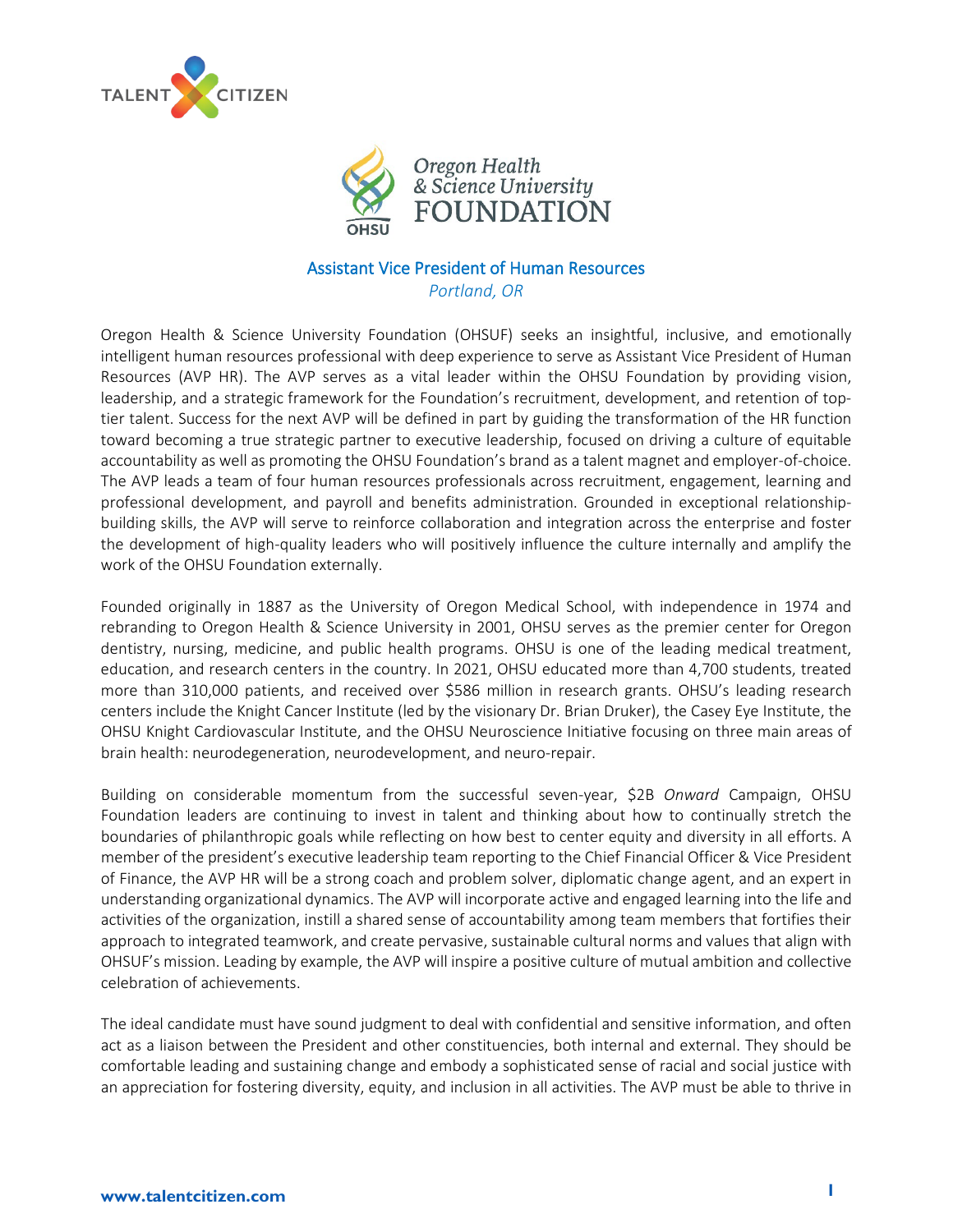



## Assistant Vice President of Human Resources *Portland, OR*

Oregon Health & Science University Foundation (OHSUF) seeks an insightful, inclusive, and emotionally intelligent human resources professional with deep experience to serve as Assistant Vice President of Human Resources (AVP HR). The AVP serves as a vital leader within the OHSU Foundation by providing vision, leadership, and a strategic framework for the Foundation's recruitment, development, and retention of toptier talent. Success for the next AVP will be defined in part by guiding the transformation of the HR function toward becoming a true strategic partner to executive leadership, focused on driving a culture of equitable accountability as well as promoting the OHSU Foundation's brand as a talent magnet and employer-of-choice. The AVP leads a team of four human resources professionals across recruitment, engagement, learning and professional development, and payroll and benefits administration. Grounded in exceptional relationshipbuilding skills, the AVP will serve to reinforce collaboration and integration across the enterprise and foster the development of high-quality leaders who will positively influence the culture internally and amplify the work of the OHSU Foundation externally.

Founded originally in 1887 as the University of Oregon Medical School, with independence in 1974 and rebranding to Oregon Health & Science University in 2001, OHSU serves as the premier center for Oregon dentistry, nursing, medicine, and public health programs. OHSU is one of the leading medical treatment, education, and research centers in the country. In 2021, OHSU educated more than 4,700 students, treated more than 310,000 patients, and received over \$586 million in research grants. OHSU's leading research centers include the Knight Cancer Institute (led by the visionary Dr. Brian Druker), the Casey Eye Institute, the OHSU Knight Cardiovascular Institute, and the OHSU Neuroscience Initiative focusing on three main areas of brain health: neurodegeneration, neurodevelopment, and neuro-repair.

Building on considerable momentum from the successful seven-year, \$2B *Onward* Campaign, OHSU Foundation leaders are continuing to invest in talent and thinking about how to continually stretch the boundaries of philanthropic goals while reflecting on how best to center equity and diversity in all efforts. A member of the president's executive leadership team reporting to the Chief Financial Officer & Vice President of Finance, the AVP HR will be a strong coach and problem solver, diplomatic change agent, and an expert in understanding organizational dynamics. The AVP will incorporate active and engaged learning into the life and activities of the organization, instill a shared sense of accountability among team members that fortifies their approach to integrated teamwork, and create pervasive, sustainable cultural norms and values that align with OHSUF's mission. Leading by example, the AVP will inspire a positive culture of mutual ambition and collective celebration of achievements.

The ideal candidate must have sound judgment to deal with confidential and sensitive information, and often act as a liaison between the President and other constituencies, both internal and external. They should be comfortable leading and sustaining change and embody a sophisticated sense of racial and social justice with an appreciation for fostering diversity, equity, and inclusion in all activities. The AVP must be able to thrive in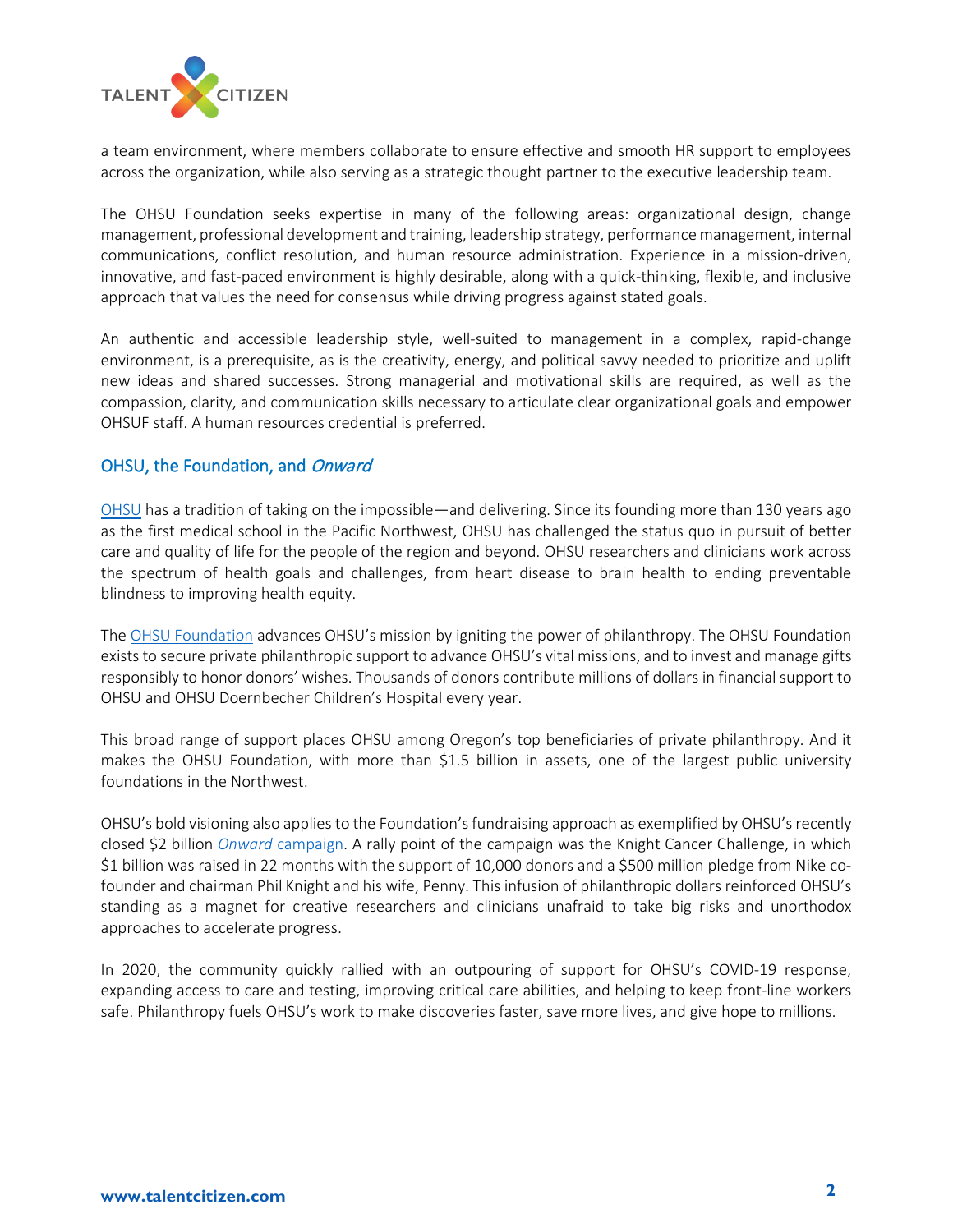

a team environment, where members collaborate to ensure effective and smooth HR support to employees across the organization, while also serving as a strategic thought partner to the executive leadership team.

The OHSU Foundation seeks expertise in many of the following areas: organizational design, change management, professional development and training, leadership strategy, performance management, internal communications, conflict resolution, and human resource administration. Experience in a mission-driven, innovative, and fast-paced environment is highly desirable, along with a quick-thinking, flexible, and inclusive approach that values the need for consensus while driving progress against stated goals.

An authentic and accessible leadership style, well-suited to management in a complex, rapid-change environment, is a prerequisite, as is the creativity, energy, and political savvy needed to prioritize and uplift new ideas and shared successes. Strong managerial and motivational skills are required, as well as the compassion, clarity, and communication skills necessary to articulate clear organizational goals and empower OHSUF staff. A human resources credential is preferred.

# OHSU, the Foundation, and Onward

[OHSU](https://www.ohsu.edu/) has a tradition of taking on the impossible—and delivering. Since its founding more than 130 years ago as the first medical school in the Pacific Northwest, OHSU has challenged the status quo in pursuit of better care and quality of life for the people of the region and beyond. OHSU researchers and clinicians work across the spectrum of health goals and challenges, from heart disease to brain health to ending preventable blindness to improving health equity.

Th[e OHSU Foundation](https://ohsufoundation.org/) advances OHSU's mission by igniting the power of philanthropy. The OHSU Foundation exists to secure private philanthropic support to advance OHSU's vital missions, and to invest and manage gifts responsibly to honor donors' wishes. Thousands of donors contribute millions of dollars in financial support to OHSU and OHSU Doernbecher Children's Hospital every year.

This broad range of support places OHSU among Oregon's top beneficiaries of private philanthropy. And it makes the OHSU Foundation, with more than \$1.5 billion in assets, one of the largest public university foundations in the Northwest.

OHSU's bold visioning also applies to the Foundation's fundraising approach as exemplified by OHSU's recently closed \$2 billion *Onward* [campaign.](https://ohsufoundation.org/onward/) A rally point of the campaign was the Knight Cancer Challenge, in which \$1 billion was raised in 22 months with the support of 10,000 donors and a \$500 million pledge from Nike cofounder and chairman Phil Knight and his wife, Penny. This infusion of philanthropic dollars reinforced OHSU's standing as a magnet for creative researchers and clinicians unafraid to take big risks and unorthodox approaches to accelerate progress.

In 2020, the community quickly rallied with an outpouring of support for OHSU's COVID-19 response, expanding access to care and testing, improving critical care abilities, and helping to keep front-line workers safe. Philanthropy fuels OHSU's work to make discoveries faster, save more lives, and give hope to millions.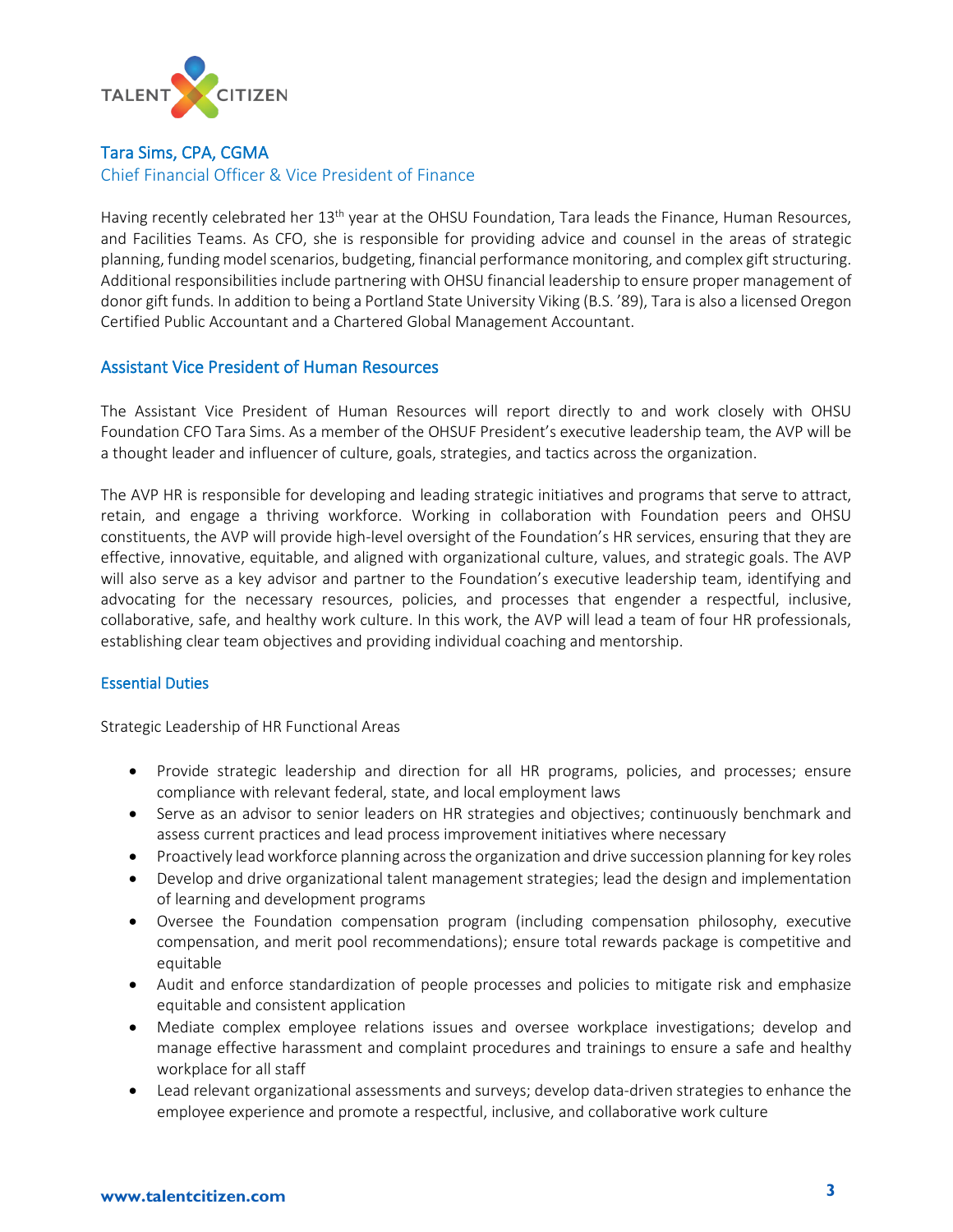

### Tara Sims, CPA, CGMA

### Chief Financial Officer & Vice President of Finance

Having recently celebrated her 13<sup>th</sup> year at the OHSU Foundation, Tara leads the Finance, Human Resources, and Facilities Teams. As CFO, she is responsible for providing advice and counsel in the areas of strategic planning, funding model scenarios, budgeting, financial performance monitoring, and complex gift structuring. Additional responsibilities include partnering with OHSU financial leadership to ensure proper management of donor gift funds. In addition to being a Portland State University Viking (B.S. '89), Tara is also a licensed Oregon Certified Public Accountant and a Chartered Global Management Accountant.

## Assistant Vice President of Human Resources

The Assistant Vice President of Human Resources will report directly to and work closely with OHSU Foundation CFO Tara Sims. As a member of the OHSUF President's executive leadership team, the AVP will be a thought leader and influencer of culture, goals, strategies, and tactics across the organization.

The AVP HR is responsible for developing and leading strategic initiatives and programs that serve to attract, retain, and engage a thriving workforce. Working in collaboration with Foundation peers and OHSU constituents, the AVP will provide high-level oversight of the Foundation's HR services, ensuring that they are effective, innovative, equitable, and aligned with organizational culture, values, and strategic goals. The AVP will also serve as a key advisor and partner to the Foundation's executive leadership team, identifying and advocating for the necessary resources, policies, and processes that engender a respectful, inclusive, collaborative, safe, and healthy work culture. In this work, the AVP will lead a team of four HR professionals, establishing clear team objectives and providing individual coaching and mentorship.

### Essential Duties

Strategic Leadership of HR Functional Areas

- Provide strategic leadership and direction for all HR programs, policies, and processes; ensure compliance with relevant federal, state, and local employment laws
- Serve as an advisor to senior leaders on HR strategies and objectives; continuously benchmark and assess current practices and lead process improvement initiatives where necessary
- Proactively lead workforce planning across the organization and drive succession planning for key roles
- Develop and drive organizational talent management strategies; lead the design and implementation of learning and development programs
- Oversee the Foundation compensation program (including compensation philosophy, executive compensation, and merit pool recommendations); ensure total rewards package is competitive and equitable
- Audit and enforce standardization of people processes and policies to mitigate risk and emphasize equitable and consistent application
- Mediate complex employee relations issues and oversee workplace investigations; develop and manage effective harassment and complaint procedures and trainings to ensure a safe and healthy workplace for all staff
- Lead relevant organizational assessments and surveys; develop data-driven strategies to enhance the employee experience and promote a respectful, inclusive, and collaborative work culture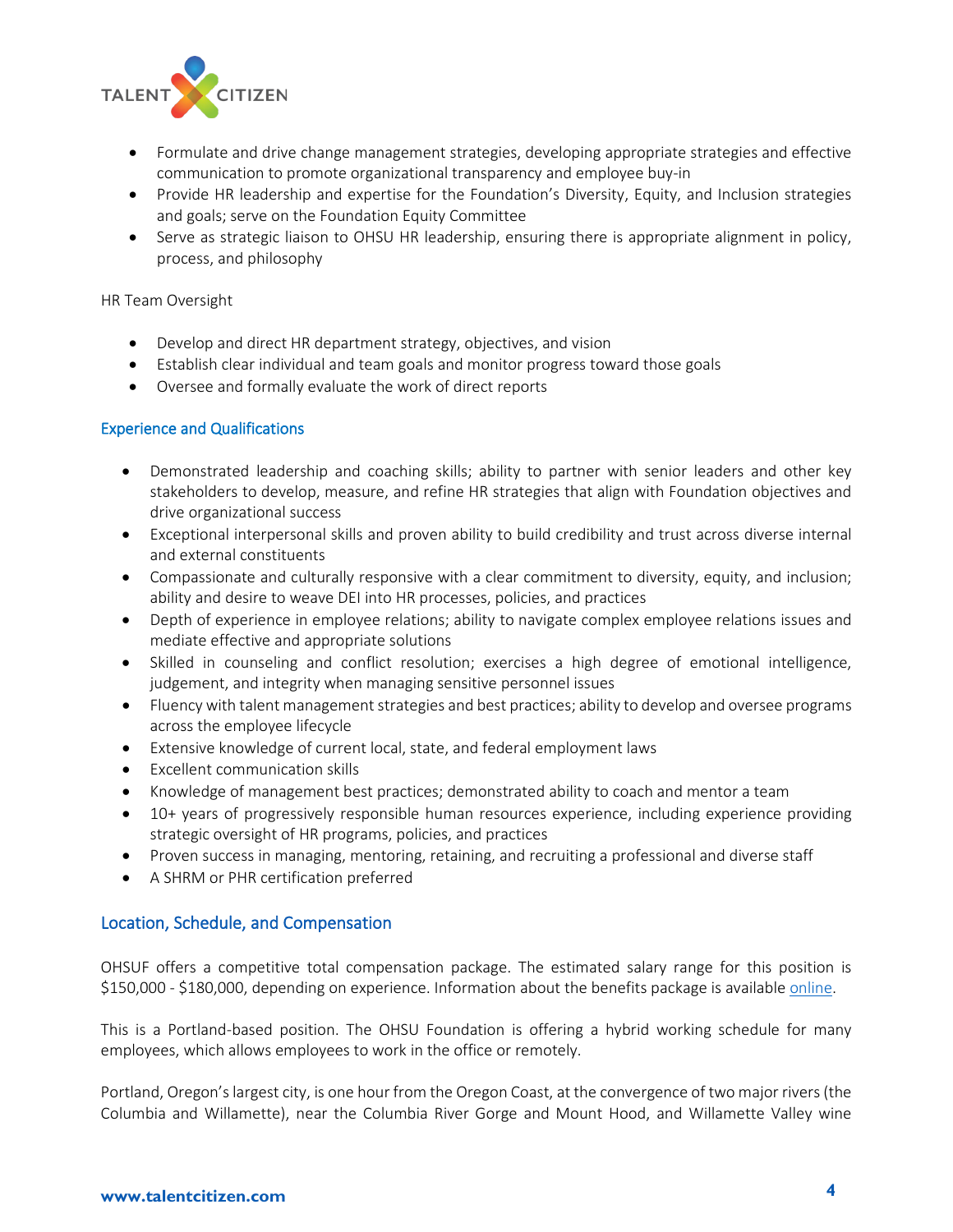

- Formulate and drive change management strategies, developing appropriate strategies and effective communication to promote organizational transparency and employee buy-in
- Provide HR leadership and expertise for the Foundation's Diversity, Equity, and Inclusion strategies and goals; serve on the Foundation Equity Committee
- Serve as strategic liaison to OHSU HR leadership, ensuring there is appropriate alignment in policy, process, and philosophy

#### HR Team Oversight

- Develop and direct HR department strategy, objectives, and vision
- Establish clear individual and team goals and monitor progress toward those goals
- Oversee and formally evaluate the work of direct reports

#### Experience and Qualifications

- Demonstrated leadership and coaching skills; ability to partner with senior leaders and other key stakeholders to develop, measure, and refine HR strategies that align with Foundation objectives and drive organizational success
- Exceptional interpersonal skills and proven ability to build credibility and trust across diverse internal and external constituents
- Compassionate and culturally responsive with a clear commitment to diversity, equity, and inclusion; ability and desire to weave DEI into HR processes, policies, and practices
- Depth of experience in employee relations; ability to navigate complex employee relations issues and mediate effective and appropriate solutions
- Skilled in counseling and conflict resolution; exercises a high degree of emotional intelligence, judgement, and integrity when managing sensitive personnel issues
- Fluency with talent management strategies and best practices; ability to develop and oversee programs across the employee lifecycle
- Extensive knowledge of current local, state, and federal employment laws
- Excellent communication skills
- Knowledge of management best practices; demonstrated ability to coach and mentor a team
- 10+ years of progressively responsible human resources experience, including experience providing strategic oversight of HR programs, policies, and practices
- Proven success in managing, mentoring, retaining, and recruiting a professional and diverse staff
- A SHRM or PHR certification preferred

### Location, Schedule, and Compensation

OHSUF offers a competitive total compensation package. The estimated salary range for this position is \$150,000 - \$180,000, depending on experience. Information about the benefits package is available [online.](https://ohsufoundation.org/careers/benefits/)

This is a Portland-based position. The OHSU Foundation is offering a hybrid working schedule for many employees, which allows employees to work in the office or remotely.

Portland, Oregon's largest city, is one hour from the Oregon Coast, at the convergence of two major rivers (the Columbia and Willamette), near the Columbia River Gorge and Mount Hood, and Willamette Valley wine